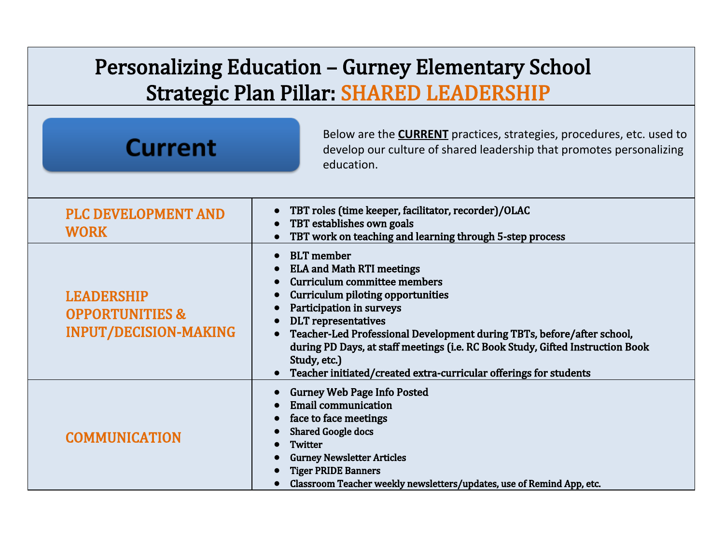## Personalizing Education – Gurney Elementary School Strategic Plan Pillar: SHARED LEADERSHIP

| <b>Current</b>                                                                  | Below are the <b>CURRENT</b> practices, strategies, procedures, etc. used to<br>develop our culture of shared leadership that promotes personalizing<br>education.                                                                                                                                                                                                                                                                           |
|---------------------------------------------------------------------------------|----------------------------------------------------------------------------------------------------------------------------------------------------------------------------------------------------------------------------------------------------------------------------------------------------------------------------------------------------------------------------------------------------------------------------------------------|
| <b>PLC DEVELOPMENT AND</b><br><b>WORK</b>                                       | TBT roles (time keeper, facilitator, recorder)/OLAC<br>TBT establishes own goals<br>TBT work on teaching and learning through 5-step process                                                                                                                                                                                                                                                                                                 |
| <b>LEADERSHIP</b><br><b>OPPORTUNITIES &amp;</b><br><b>INPUT/DECISION-MAKING</b> | <b>BLT</b> member<br><b>ELA and Math RTI meetings</b><br>Curriculum committee members<br><b>Curriculum piloting opportunities</b><br>Participation in surveys<br><b>DLT</b> representatives<br>Teacher-Led Professional Development during TBTs, before/after school,<br>during PD Days, at staff meetings (i.e. RC Book Study, Gifted Instruction Book<br>Study, etc.)<br>Teacher initiated/created extra-curricular offerings for students |
| <b>COMMUNICATION</b>                                                            | <b>Gurney Web Page Info Posted</b><br><b>Email communication</b><br>face to face meetings<br><b>Shared Google docs</b><br>Twitter<br><b>Gurney Newsletter Articles</b><br><b>Tiger PRIDE Banners</b><br>Classroom Teacher weekly newsletters/updates, use of Remind App, etc.                                                                                                                                                                |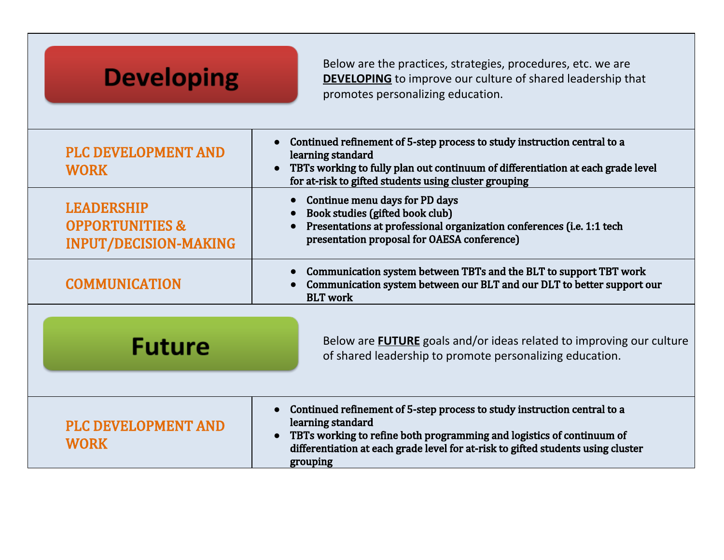| <b>Developing</b>                                                                                                                                        | Below are the practices, strategies, procedures, etc. we are<br><b>DEVELOPING</b> to improve our culture of shared leadership that<br>promotes personalizing education.                                                                                                |
|----------------------------------------------------------------------------------------------------------------------------------------------------------|------------------------------------------------------------------------------------------------------------------------------------------------------------------------------------------------------------------------------------------------------------------------|
| <b>PLC DEVELOPMENT AND</b><br><b>WORK</b>                                                                                                                | Continued refinement of 5-step process to study instruction central to a<br>learning standard<br>TBTs working to fully plan out continuum of differentiation at each grade level<br>for at-risk to gifted students using cluster grouping                              |
| <b>LEADERSHIP</b><br><b>OPPORTUNITIES &amp;</b><br><b>INPUT/DECISION-MAKING</b>                                                                          | Continue menu days for PD days<br>Book studies (gifted book club)<br>Presentations at professional organization conferences (i.e. 1:1 tech<br>presentation proposal for OAESA conference)                                                                              |
| <b>COMMUNICATION</b>                                                                                                                                     | Communication system between TBTs and the BLT to support TBT work<br>Communication system between our BLT and our DLT to better support our<br><b>BLT</b> work                                                                                                         |
| Below are <b>FUTURE</b> goals and/or ideas related to improving our culture<br><b>Future</b><br>of shared leadership to promote personalizing education. |                                                                                                                                                                                                                                                                        |
| <b>PLC DEVELOPMENT AND</b><br><b>WORK</b>                                                                                                                | Continued refinement of 5-step process to study instruction central to a<br>learning standard<br>TBTs working to refine both programming and logistics of continuum of<br>differentiation at each grade level for at-risk to gifted students using cluster<br>grouping |